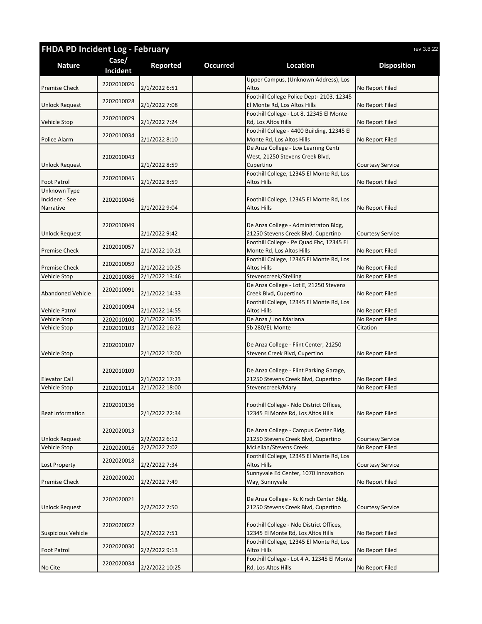| FHDA PD Incident Log - February<br>rev 3.8.22 |                   |                                  |                 |                                                                                |                                    |
|-----------------------------------------------|-------------------|----------------------------------|-----------------|--------------------------------------------------------------------------------|------------------------------------|
| <b>Nature</b>                                 | Case/<br>Incident | <b>Reported</b>                  | <b>Occurred</b> | Location                                                                       | <b>Disposition</b>                 |
| <b>Premise Check</b>                          | 2202010026        | 2/1/2022 6:51                    |                 | Upper Campus, (Unknown Address), Los<br>Altos                                  | No Report Filed                    |
|                                               |                   |                                  |                 | Foothill College Police Dept- 2103, 12345                                      |                                    |
| <b>Unlock Request</b>                         | 2202010028        | 2/1/2022 7:08                    |                 | El Monte Rd, Los Altos Hills                                                   | No Report Filed                    |
|                                               |                   |                                  |                 | Foothill College - Lot 8, 12345 El Monte                                       |                                    |
| <b>Vehicle Stop</b>                           | 2202010029        | 2/1/2022 7:24                    |                 | Rd, Los Altos Hills                                                            | No Report Filed                    |
|                                               | 2202010034        |                                  |                 | Foothill College - 4400 Building, 12345 El                                     |                                    |
| Police Alarm                                  |                   | 2/1/2022 8:10                    |                 | Monte Rd, Los Altos Hills<br>De Anza College - Lcw Learnng Centr               | No Report Filed                    |
|                                               | 2202010043        |                                  |                 | West, 21250 Stevens Creek Blvd,                                                |                                    |
| <b>Unlock Request</b>                         |                   | 2/1/2022 8:59                    |                 | Cupertino                                                                      | <b>Courtesy Service</b>            |
|                                               | 2202010045        |                                  |                 | Foothill College, 12345 El Monte Rd, Los                                       |                                    |
| <b>Foot Patrol</b>                            |                   | 2/1/2022 8:59                    |                 | Altos Hills                                                                    | No Report Filed                    |
| Unknown Type                                  |                   |                                  |                 |                                                                                |                                    |
| Incident - See                                | 2202010046        |                                  |                 | Foothill College, 12345 El Monte Rd, Los<br><b>Altos Hills</b>                 |                                    |
| Narrative                                     |                   | 2/1/2022 9:04                    |                 |                                                                                | No Report Filed                    |
|                                               | 2202010049        |                                  |                 | De Anza College - Administraton Bldg,                                          |                                    |
| <b>Unlock Request</b>                         |                   | 2/1/2022 9:42                    |                 | 21250 Stevens Creek Blvd, Cupertino                                            | <b>Courtesy Service</b>            |
|                                               | 2202010057        |                                  |                 | Foothill College - Pe Quad Fhc, 12345 El                                       |                                    |
| <b>Premise Check</b>                          |                   | 2/1/2022 10:21                   |                 | Monte Rd, Los Altos Hills                                                      | No Report Filed                    |
|                                               | 2202010059        |                                  |                 | Foothill College, 12345 El Monte Rd, Los                                       |                                    |
| <b>Premise Check</b><br><b>Vehicle Stop</b>   | 2202010086        | 2/1/2022 10:25<br>2/1/2022 13:46 |                 | <b>Altos Hills</b><br>Stevenscreek/Stelling                                    | No Report Filed<br>No Report Filed |
|                                               |                   |                                  |                 | De Anza College - Lot E, 21250 Stevens                                         |                                    |
| <b>Abandoned Vehicle</b>                      | 2202010091        | 2/1/2022 14:33                   |                 | Creek Blvd, Cupertino                                                          | No Report Filed                    |
|                                               |                   |                                  |                 | Foothill College, 12345 El Monte Rd, Los                                       |                                    |
| <b>Vehicle Patrol</b>                         | 2202010094        | 2/1/2022 14:55                   |                 | Altos Hills                                                                    | No Report Filed                    |
| Vehicle Stop                                  | 2202010100        | 2/1/2022 16:15                   |                 | De Anza / Jno Mariana                                                          | No Report Filed                    |
| Vehicle Stop                                  | 2202010103        | 2/1/2022 16:22                   |                 | Sb 280/EL Monte                                                                | Citation                           |
|                                               | 2202010107        |                                  |                 | De Anza College - Flint Center, 21250                                          |                                    |
| Vehicle Stop                                  |                   | 2/1/2022 17:00                   |                 | Stevens Creek Blvd, Cupertino                                                  | No Report Filed                    |
|                                               |                   |                                  |                 |                                                                                |                                    |
|                                               | 2202010109        |                                  |                 | De Anza College - Flint Parking Garage,                                        |                                    |
| <b>Elevator Call</b>                          |                   | 2/1/2022 17:23                   |                 | 21250 Stevens Creek Blvd, Cupertino                                            | No Report Filed                    |
| Vehicle Stop                                  | 2202010114        | 2/1/2022 18:00                   |                 | Stevenscreek/Mary                                                              | No Report Filed                    |
|                                               | 2202010136        |                                  |                 | Foothill College - Ndo District Offices,                                       |                                    |
| <b>Beat Information</b>                       |                   | 2/1/2022 22:34                   |                 | 12345 El Monte Rd, Los Altos Hills                                             | No Report Filed                    |
|                                               |                   |                                  |                 |                                                                                |                                    |
|                                               | 2202020013        |                                  |                 | De Anza College - Campus Center Bldg,                                          |                                    |
| <b>Unlock Request</b>                         |                   | 2/2/2022 6:12                    |                 | 21250 Stevens Creek Blvd, Cupertino                                            | <b>Courtesy Service</b>            |
| Vehicle Stop                                  | 2202020016        | 2/2/2022 7:02                    |                 | McLellan/Stevens Creek                                                         | No Report Filed                    |
| Lost Property                                 | 2202020018        | 2/2/2022 7:34                    |                 | Foothill College, 12345 El Monte Rd, Los<br><b>Altos Hills</b>                 | <b>Courtesy Service</b>            |
|                                               |                   |                                  |                 | Sunnyvale Ed Center, 1070 Innovation                                           |                                    |
| <b>Premise Check</b>                          | 2202020020        | 2/2/2022 7:49                    |                 | Way, Sunnyvale                                                                 | No Report Filed                    |
|                                               |                   |                                  |                 |                                                                                |                                    |
|                                               | 2202020021        |                                  |                 | De Anza College - Kc Kirsch Center Bldg,                                       |                                    |
| <b>Unlock Request</b>                         |                   | 2/2/2022 7:50                    |                 | 21250 Stevens Creek Blvd, Cupertino                                            | <b>Courtesy Service</b>            |
|                                               |                   |                                  |                 |                                                                                |                                    |
| <b>Suspicious Vehicle</b>                     | 2202020022        | 2/2/2022 7:51                    |                 | Foothill College - Ndo District Offices,<br>12345 El Monte Rd, Los Altos Hills | No Report Filed                    |
|                                               |                   |                                  |                 | Foothill College, 12345 El Monte Rd, Los                                       |                                    |
| <b>Foot Patrol</b>                            | 2202020030        | 2/2/2022 9:13                    |                 | Altos Hills                                                                    | No Report Filed                    |
|                                               | 2202020034        |                                  |                 | Foothill College - Lot 4 A, 12345 El Monte                                     |                                    |
| No Cite                                       |                   | 2/2/2022 10:25                   |                 | Rd, Los Altos Hills                                                            | No Report Filed                    |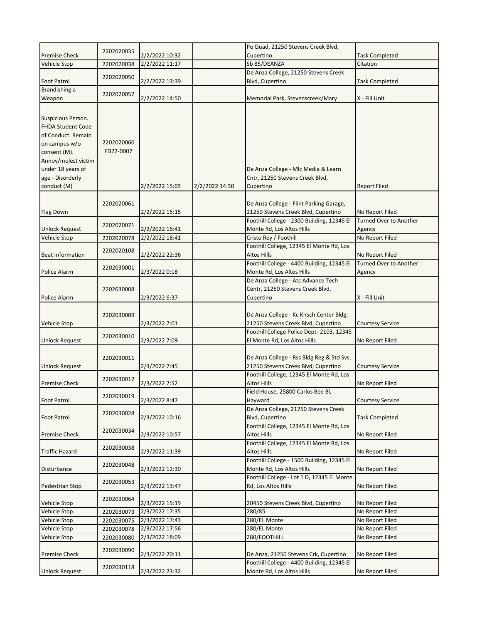|                                                                                                                                                                                      |                         |                |                | Pe Quad, 21250 Stevens Creek Blvd,                                                  |                               |
|--------------------------------------------------------------------------------------------------------------------------------------------------------------------------------------|-------------------------|----------------|----------------|-------------------------------------------------------------------------------------|-------------------------------|
| <b>Premise Check</b>                                                                                                                                                                 | 2202020035              | 2/2/2022 10:32 |                | Cupertino                                                                           | <b>Task Completed</b>         |
| <b>Vehicle Stop</b>                                                                                                                                                                  | 2202020038              | 2/2/2022 11:17 |                | Sb 85/DEANZA                                                                        | Citation                      |
|                                                                                                                                                                                      |                         |                |                | De Anza College, 21250 Stevens Creek                                                |                               |
| <b>Foot Patrol</b>                                                                                                                                                                   | 2202020050              | 2/2/2022 13:39 |                | Blvd, Cupertino                                                                     | <b>Task Completed</b>         |
| Brandishing a                                                                                                                                                                        | 2202020057              |                |                |                                                                                     |                               |
| Weapon                                                                                                                                                                               |                         | 2/2/2022 14:50 |                | Memorial Park, Stevenscreek/Mary                                                    | X - Fill Unit                 |
| Suspicious Person.<br><b>FHDA Student Code</b><br>of Conduct. Remain<br>on campus w/o<br>consent (M).<br>Annoy/molest victim<br>under 18 years of<br>age - Disorderly<br>conduct (M) | 2202020060<br>FD22-0007 | 2/2/2022 15:03 | 2/2/2022 14:30 | De Anza College - Mlc Media & Learn<br>Cntr, 21250 Stevens Creek Blvd,<br>Cupertino | <b>Report Filed</b>           |
|                                                                                                                                                                                      | 2202020061              |                |                | De Anza College - Flint Parking Garage,                                             |                               |
| Flag Down                                                                                                                                                                            |                         | 2/2/2022 15:15 |                | 21250 Stevens Creek Blvd, Cupertino                                                 | No Report Filed               |
|                                                                                                                                                                                      |                         |                |                | Foothill College - 2300 Building, 12345 El                                          | <b>Turned Over to Another</b> |
| <b>Unlock Request</b>                                                                                                                                                                | 2202020071              | 2/2/2022 16:41 |                | Monte Rd, Los Altos Hills                                                           | Agency                        |
| Vehicle Stop                                                                                                                                                                         | 2202020078              | 2/2/2022 18:41 |                | Cristo Rey / Foothill                                                               | No Report Filed               |
|                                                                                                                                                                                      | 2202020108              |                |                | Foothill College, 12345 El Monte Rd, Los                                            |                               |
| <b>Beat Information</b>                                                                                                                                                              |                         | 2/2/2022 22:36 |                | Altos Hills                                                                         | No Report Filed               |
|                                                                                                                                                                                      | 2202030001              |                |                | Foothill College - 4400 Building, 12345 El                                          | Turned Over to Another        |
| Police Alarm                                                                                                                                                                         |                         | 2/3/2022 0:18  |                | Monte Rd, Los Altos Hills                                                           | Agency                        |
| Police Alarm                                                                                                                                                                         | 2202030008              | 2/3/2022 6:37  |                | De Anza College - Atc Advance Tech<br>Centr, 21250 Stevens Creek Blvd,<br>Cupertino | X - Fill Unit                 |
| Vehicle Stop                                                                                                                                                                         | 2202030009              | 2/3/2022 7:01  |                | De Anza College - Kc Kirsch Center Bldg,<br>21250 Stevens Creek Blvd, Cupertino     | <b>Courtesy Service</b>       |
| <b>Unlock Request</b>                                                                                                                                                                | 2202030010              | 2/3/2022 7:09  |                | Foothill College Police Dept-2103, 12345<br>El Monte Rd, Los Altos Hills            | No Report Filed               |
| <b>Unlock Request</b>                                                                                                                                                                | 2202030011              | 2/3/2022 7:45  |                | De Anza College - Rss Bldg Reg & Std Svs,<br>21250 Stevens Creek Blvd, Cupertino    | <b>Courtesy Service</b>       |
|                                                                                                                                                                                      |                         |                |                | Foothill College, 12345 El Monte Rd, Los                                            |                               |
| <b>Premise Check</b>                                                                                                                                                                 | 2202030012              | 2/3/2022 7:52  |                | Altos Hills                                                                         | No Report Filed               |
| <b>Foot Patrol</b>                                                                                                                                                                   | 2202030019              | 2/3/2022 8:47  |                | Field House, 25800 Carlos Bee Bl,<br>Hayward                                        | <b>Courtesy Service</b>       |
| <b>Foot Patrol</b>                                                                                                                                                                   | 2202030028              | 2/3/2022 10:16 |                | De Anza College, 21250 Stevens Creek<br>Blvd, Cupertino                             | <b>Task Completed</b>         |
| <b>Premise Check</b>                                                                                                                                                                 | 2202030034              | 2/3/2022 10:57 |                | Foothill College, 12345 El Monte Rd, Los<br>Altos Hills                             | No Report Filed               |
| <b>Traffic Hazard</b>                                                                                                                                                                | 2202030038              | 2/3/2022 11:39 |                | Foothill College, 12345 El Monte Rd, Los<br>Altos Hills                             | No Report Filed               |
| Disturbance                                                                                                                                                                          | 2202030048              | 2/3/2022 12:30 |                | Foothill College - 1500 Building, 12345 El<br>Monte Rd, Los Altos Hills             | No Report Filed               |
| Pedestrian Stop                                                                                                                                                                      | 2202030053              | 2/3/2022 13:47 |                | Foothill College - Lot 1 D, 12345 El Monte<br>Rd, Los Altos Hills                   | No Report Filed               |
| Vehicle Stop                                                                                                                                                                         | 2202030064              | 2/3/2022 15:19 |                | 20450 Stevens Creek Blvd, Cupertino                                                 | No Report Filed               |
| Vehicle Stop                                                                                                                                                                         | 2202030073              | 2/3/2022 17:35 |                | 280/85                                                                              | No Report Filed               |
| Vehicle Stop                                                                                                                                                                         | 2202030075              | 2/3/2022 17:43 |                | 280/EL Monte                                                                        | No Report Filed               |
| Vehicle Stop                                                                                                                                                                         | 2202030078              | 2/3/2022 17:56 |                | 280/EL Monte                                                                        | No Report Filed               |
| Vehicle Stop                                                                                                                                                                         | 2202030080              | 2/3/2022 18:09 |                | 280/FOOTHILL                                                                        | No Report Filed               |
| <b>Premise Check</b>                                                                                                                                                                 | 2202030090              | 2/3/2022 20:11 |                | De Anza, 21250 Stevens Crk, Cupertino                                               | No Report Filed               |
| <b>Unlock Request</b>                                                                                                                                                                | 2202030118              | 2/3/2022 23:32 |                | Foothill College - 4400 Building, 12345 El<br>Monte Rd, Los Altos Hills             | No Report Filed               |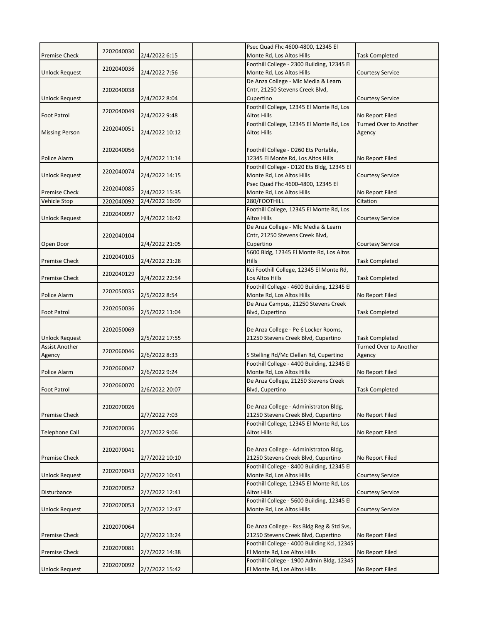|                       |            |                | Psec Quad Fhc 4600-4800, 12345 El                                            |                                           |
|-----------------------|------------|----------------|------------------------------------------------------------------------------|-------------------------------------------|
| <b>Premise Check</b>  | 2202040030 | 2/4/2022 6:15  | Monte Rd, Los Altos Hills                                                    | <b>Task Completed</b>                     |
|                       | 2202040036 |                | Foothill College - 2300 Building, 12345 El                                   |                                           |
| <b>Unlock Request</b> |            | 2/4/2022 7:56  | Monte Rd, Los Altos Hills                                                    | <b>Courtesy Service</b>                   |
|                       |            |                | De Anza College - Mlc Media & Learn                                          |                                           |
|                       | 2202040038 |                | Cntr, 21250 Stevens Creek Blvd,                                              |                                           |
| Unlock Request        |            | 2/4/2022 8:04  | Cupertino                                                                    | <b>Courtesy Service</b>                   |
|                       | 2202040049 |                | Foothill College, 12345 El Monte Rd, Los                                     |                                           |
| <b>Foot Patrol</b>    |            | 2/4/2022 9:48  | <b>Altos Hills</b><br>Foothill College, 12345 El Monte Rd, Los               | No Report Filed<br>Turned Over to Another |
| <b>Missing Person</b> | 2202040051 | 2/4/2022 10:12 | <b>Altos Hills</b>                                                           | Agency                                    |
|                       |            |                |                                                                              |                                           |
|                       | 2202040056 |                | Foothill College - D260 Ets Portable,                                        |                                           |
| Police Alarm          |            | 2/4/2022 11:14 | 12345 El Monte Rd, Los Altos Hills                                           | No Report Filed                           |
|                       |            |                | Foothill College - D120 Ets Bldg, 12345 El                                   |                                           |
| <b>Unlock Request</b> | 2202040074 | 2/4/2022 14:15 | Monte Rd, Los Altos Hills                                                    | Courtesy Service                          |
|                       |            |                | Psec Quad Fhc 4600-4800, 12345 El                                            |                                           |
| <b>Premise Check</b>  | 2202040085 | 2/4/2022 15:35 | Monte Rd, Los Altos Hills                                                    | No Report Filed                           |
| <b>Vehicle Stop</b>   | 2202040092 | 2/4/2022 16:09 | 280/FOOTHILL                                                                 | Citation                                  |
|                       | 2202040097 |                | Foothill College, 12345 El Monte Rd, Los                                     |                                           |
| <b>Unlock Request</b> |            | 2/4/2022 16:42 | <b>Altos Hills</b>                                                           | <b>Courtesy Service</b>                   |
|                       |            |                | De Anza College - Mlc Media & Learn                                          |                                           |
|                       | 2202040104 |                | Cntr, 21250 Stevens Creek Blvd,                                              |                                           |
| Open Door             |            | 2/4/2022 21:05 | Cupertino                                                                    | <b>Courtesy Service</b>                   |
|                       | 2202040105 |                | 5600 Bldg, 12345 El Monte Rd, Los Altos                                      |                                           |
| <b>Premise Check</b>  |            | 2/4/2022 21:28 | <b>Hills</b><br>Kci Foothill College, 12345 El Monte Rd,                     | <b>Task Completed</b>                     |
| <b>Premise Check</b>  | 2202040129 | 2/4/2022 22:54 | Los Altos Hills                                                              | <b>Task Completed</b>                     |
|                       |            |                | Foothill College - 4600 Building, 12345 El                                   |                                           |
| Police Alarm          | 2202050035 | 2/5/2022 8:54  | Monte Rd, Los Altos Hills                                                    | No Report Filed                           |
|                       |            |                | De Anza Campus, 21250 Stevens Creek                                          |                                           |
| <b>Foot Patrol</b>    | 2202050036 | 2/5/2022 11:04 | Blvd, Cupertino                                                              | <b>Task Completed</b>                     |
|                       |            |                |                                                                              |                                           |
|                       | 2202050069 |                | De Anza College - Pe 6 Locker Rooms,                                         |                                           |
| <b>Unlock Request</b> |            | 2/5/2022 17:55 | 21250 Stevens Creek Blvd, Cupertino                                          | <b>Task Completed</b>                     |
| <b>Assist Another</b> | 2202060046 |                |                                                                              | Turned Over to Another                    |
| Agency                |            | 2/6/2022 8:33  | S Stelling Rd/Mc Clellan Rd, Cupertino                                       | Agency                                    |
|                       | 2202060047 |                | Foothill College - 4400 Building, 12345 El                                   |                                           |
| Police Alarm          |            | 2/6/2022 9:24  | Monte Rd, Los Altos Hills                                                    | No Report Filed                           |
|                       | 2202060070 |                | De Anza College, 21250 Stevens Creek                                         |                                           |
| <b>Foot Patrol</b>    |            | 2/6/2022 20:07 | Blvd, Cupertino                                                              | <b>Task Completed</b>                     |
|                       |            |                |                                                                              |                                           |
|                       | 2202070026 |                | De Anza College - Administraton Bldg,<br>21250 Stevens Creek Blvd, Cupertino |                                           |
| <b>Premise Check</b>  |            | 2/7/2022 7:03  | Foothill College, 12345 El Monte Rd, Los                                     | No Report Filed                           |
| <b>Telephone Call</b> | 2202070036 | 2/7/2022 9:06  | Altos Hills                                                                  | No Report Filed                           |
|                       |            |                |                                                                              |                                           |
|                       | 2202070041 |                | De Anza College - Administraton Bldg,                                        |                                           |
| <b>Premise Check</b>  |            | 2/7/2022 10:10 | 21250 Stevens Creek Blvd, Cupertino                                          | No Report Filed                           |
|                       |            |                | Foothill College - 8400 Building, 12345 El                                   |                                           |
| <b>Unlock Request</b> | 2202070043 | 2/7/2022 10:41 | Monte Rd, Los Altos Hills                                                    | <b>Courtesy Service</b>                   |
|                       |            |                | Foothill College, 12345 El Monte Rd, Los                                     |                                           |
| Disturbance           | 2202070052 | 2/7/2022 12:41 | <b>Altos Hills</b>                                                           | <b>Courtesy Service</b>                   |
|                       | 2202070053 |                | Foothill College - 5600 Building, 12345 El                                   |                                           |
| Unlock Request        |            | 2/7/2022 12:47 | Monte Rd, Los Altos Hills                                                    | <b>Courtesy Service</b>                   |
|                       |            |                |                                                                              |                                           |
|                       | 2202070064 |                | De Anza College - Rss Bldg Reg & Std Svs,                                    |                                           |
| <b>Premise Check</b>  |            | 2/7/2022 13:24 | 21250 Stevens Creek Blvd, Cupertino                                          | No Report Filed                           |
|                       | 2202070081 |                | Foothill College - 4000 Building Kci, 12345                                  |                                           |
| <b>Premise Check</b>  |            | 2/7/2022 14:38 | El Monte Rd, Los Altos Hills<br>Foothill College - 1900 Admin Bldg, 12345    | No Report Filed                           |
| <b>Unlock Request</b> | 2202070092 | 2/7/2022 15:42 | El Monte Rd, Los Altos Hills                                                 | No Report Filed                           |
|                       |            |                |                                                                              |                                           |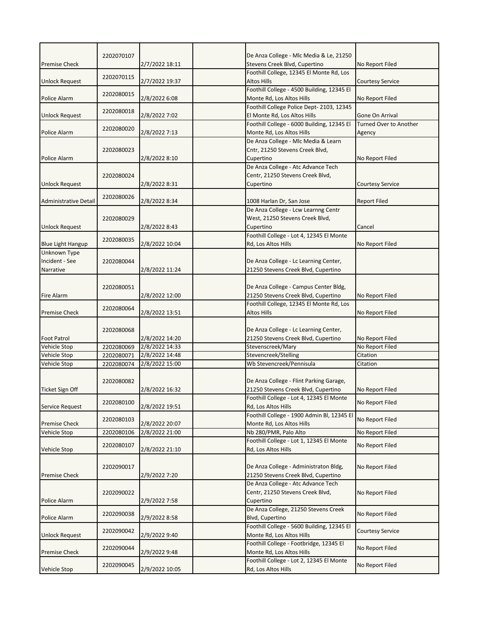|                              | 2202070107 |                | De Anza College - Mlc Media & Le, 21250                                         |                                                  |
|------------------------------|------------|----------------|---------------------------------------------------------------------------------|--------------------------------------------------|
| <b>Premise Check</b>         |            | 2/7/2022 18:11 | Stevens Creek Blvd, Cupertino                                                   | No Report Filed                                  |
|                              |            |                | Foothill College, 12345 El Monte Rd, Los                                        |                                                  |
| <b>Unlock Request</b>        | 2202070115 | 2/7/2022 19:37 | Altos Hills                                                                     | <b>Courtesy Service</b>                          |
|                              | 2202080015 |                | Foothill College - 4500 Building, 12345 El                                      |                                                  |
| Police Alarm                 |            | 2/8/2022 6:08  | Monte Rd, Los Altos Hills                                                       | No Report Filed                                  |
|                              | 2202080018 |                | Foothill College Police Dept- 2103, 12345                                       |                                                  |
| Unlock Request               |            | 2/8/2022 7:02  | El Monte Rd, Los Altos Hills<br>Foothill College - 6000 Building, 12345 El      | Gone On Arrival<br><b>Turned Over to Another</b> |
| Police Alarm                 | 2202080020 | 2/8/2022 7:13  | Monte Rd, Los Altos Hills                                                       | Agency                                           |
|                              |            |                | De Anza College - Mlc Media & Learn                                             |                                                  |
|                              | 2202080023 |                | Cntr, 21250 Stevens Creek Blvd,                                                 |                                                  |
| Police Alarm                 |            | 2/8/2022 8:10  | Cupertino                                                                       | No Report Filed                                  |
|                              |            |                | De Anza College - Atc Advance Tech                                              |                                                  |
|                              | 2202080024 |                | Centr, 21250 Stevens Creek Blvd,                                                |                                                  |
| <b>Unlock Request</b>        |            | 2/8/2022 8:31  | Cupertino                                                                       | <b>Courtesy Service</b>                          |
| <b>Administrative Detail</b> | 2202080026 | 2/8/2022 8:34  | 1008 Harlan Dr, San Jose                                                        | <b>Report Filed</b>                              |
|                              |            |                | De Anza College - Lcw Learnng Centr                                             |                                                  |
|                              | 2202080029 |                | West, 21250 Stevens Creek Blvd,                                                 |                                                  |
| <b>Unlock Request</b>        |            | 2/8/2022 8:43  | Cupertino                                                                       | Cancel                                           |
|                              |            |                | Foothill College - Lot 4, 12345 El Monte                                        |                                                  |
| <b>Blue Light Hangup</b>     | 2202080035 | 2/8/2022 10:04 | Rd, Los Altos Hills                                                             | No Report Filed                                  |
| Unknown Type                 |            |                |                                                                                 |                                                  |
| Incident - See               | 2202080044 |                | De Anza College - Lc Learning Center,                                           |                                                  |
| Narrative                    |            | 2/8/2022 11:24 | 21250 Stevens Creek Blvd, Cupertino                                             |                                                  |
|                              |            |                |                                                                                 |                                                  |
| <b>Fire Alarm</b>            | 2202080051 |                | De Anza College - Campus Center Bldg,                                           |                                                  |
|                              |            | 2/8/2022 12:00 | 21250 Stevens Creek Blvd, Cupertino<br>Foothill College, 12345 El Monte Rd, Los | No Report Filed                                  |
| <b>Premise Check</b>         | 2202080064 | 2/8/2022 13:51 | Altos Hills                                                                     | No Report Filed                                  |
|                              |            |                |                                                                                 |                                                  |
|                              | 2202080068 |                | De Anza College - Lc Learning Center,                                           |                                                  |
| <b>Foot Patrol</b>           |            | 2/8/2022 14:20 | 21250 Stevens Creek Blvd, Cupertino                                             | No Report Filed                                  |
| Vehicle Stop                 | 2202080069 | 2/8/2022 14:33 | Stevenscreek/Mary                                                               | No Report Filed                                  |
| Vehicle Stop                 | 2202080071 | 2/8/2022 14:48 | Stevencreek/Stelling                                                            | Citation                                         |
| Vehicle Stop                 | 2202080074 | 2/8/2022 15:00 | Wb Stevencreek/Pennisula                                                        | Citation                                         |
|                              |            |                |                                                                                 |                                                  |
| <b>Ticket Sign Off</b>       | 2202080082 | 2/8/2022 16:32 | De Anza College - Flint Parking Garage,<br>21250 Stevens Creek Blvd, Cupertino  | No Report Filed                                  |
|                              |            |                | Foothill College - Lot 4, 12345 El Monte                                        |                                                  |
| Service Request              | 2202080100 | 2/8/2022 19:51 | Rd, Los Altos Hills                                                             | No Report Filed                                  |
|                              |            |                | Foothill College - 1900 Admin Bl, 12345 El                                      |                                                  |
| <b>Premise Check</b>         |            |                |                                                                                 |                                                  |
|                              | 2202080103 | 2/8/2022 20:07 | Monte Rd, Los Altos Hills                                                       | No Report Filed                                  |
| Vehicle Stop                 | 2202080106 | 2/8/2022 21:00 | Nb 280/PMR, Palo Alto                                                           | No Report Filed                                  |
|                              |            |                | Foothill College - Lot 1, 12345 El Monte                                        |                                                  |
| Vehicle Stop                 | 2202080107 | 2/8/2022 21:10 | Rd, Los Altos Hills                                                             | No Report Filed                                  |
|                              |            |                |                                                                                 |                                                  |
|                              | 2202090017 |                | De Anza College - Administraton Bldg,                                           | No Report Filed                                  |
| <b>Premise Check</b>         |            | 2/9/2022 7:20  | 21250 Stevens Creek Blvd, Cupertino                                             |                                                  |
|                              |            |                | De Anza College - Atc Advance Tech                                              |                                                  |
| Police Alarm                 | 2202090022 | 2/9/2022 7:58  | Centr, 21250 Stevens Creek Blvd,<br>Cupertino                                   | No Report Filed                                  |
|                              |            |                | De Anza College, 21250 Stevens Creek                                            |                                                  |
| Police Alarm                 | 2202090038 | 2/9/2022 8:58  | Blvd, Cupertino                                                                 | No Report Filed                                  |
|                              |            |                | Foothill College - 5600 Building, 12345 El                                      |                                                  |
| Unlock Request               | 2202090042 | 2/9/2022 9:40  | Monte Rd, Los Altos Hills                                                       | <b>Courtesy Service</b>                          |
|                              | 2202090044 |                | Foothill College - Footbridge, 12345 El                                         | No Report Filed                                  |
| <b>Premise Check</b>         |            | 2/9/2022 9:48  | Monte Rd, Los Altos Hills                                                       |                                                  |
| Vehicle Stop                 | 2202090045 | 2/9/2022 10:05 | Foothill College - Lot 2, 12345 El Monte<br>Rd, Los Altos Hills                 | No Report Filed                                  |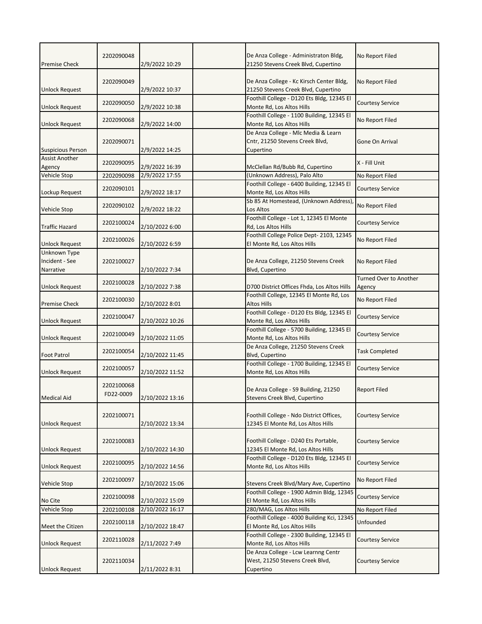| <b>Premise Check</b>                        | 2202090048              | 2/9/2022 10:29  | De Anza College - Administraton Bldg,<br>21250 Stevens Creek Blvd, Cupertino        | No Report Filed                         |
|---------------------------------------------|-------------------------|-----------------|-------------------------------------------------------------------------------------|-----------------------------------------|
| Unlock Request                              | 2202090049              | 2/9/2022 10:37  | De Anza College - Kc Kirsch Center Bldg,<br>21250 Stevens Creek Blvd, Cupertino     | No Report Filed                         |
| <b>Unlock Request</b>                       | 2202090050              | 2/9/2022 10:38  | Foothill College - D120 Ets Bldg, 12345 El<br>Monte Rd, Los Altos Hills             | <b>Courtesy Service</b>                 |
| <b>Unlock Request</b>                       | 2202090068              | 2/9/2022 14:00  | Foothill College - 1100 Building, 12345 El<br>Monte Rd, Los Altos Hills             | No Report Filed                         |
| <b>Suspicious Person</b>                    | 2202090071              | 2/9/2022 14:25  | De Anza College - Mlc Media & Learn<br>Cntr, 21250 Stevens Creek Blvd,<br>Cupertino | Gone On Arrival                         |
| <b>Assist Another</b><br>Agency             | 2202090095              | 2/9/2022 16:39  | McClellan Rd/Bubb Rd, Cupertino                                                     | X - Fill Unit                           |
| <b>Vehicle Stop</b>                         | 2202090098              | 2/9/2022 17:55  | (Unknown Address), Palo Alto                                                        | No Report Filed                         |
| Lockup Request                              | 2202090101              | 2/9/2022 18:17  | Foothill College - 6400 Building, 12345 El<br>Monte Rd, Los Altos Hills             | <b>Courtesy Service</b>                 |
| <b>Vehicle Stop</b>                         | 2202090102              | 2/9/2022 18:22  | Sb 85 At Homestead, (Unknown Address),<br>Los Altos                                 | No Report Filed                         |
| <b>Traffic Hazard</b>                       | 2202100024              | 2/10/2022 6:00  | Foothill College - Lot 1, 12345 El Monte<br>Rd, Los Altos Hills                     | <b>Courtesy Service</b>                 |
| <b>Unlock Request</b>                       | 2202100026              | 2/10/2022 6:59  | Foothill College Police Dept- 2103, 12345<br>El Monte Rd, Los Altos Hills           | No Report Filed                         |
| Unknown Type<br>Incident - See<br>Narrative | 2202100027              | 2/10/2022 7:34  | De Anza College, 21250 Stevens Creek<br>Blvd, Cupertino                             | No Report Filed                         |
| <b>Unlock Request</b>                       | 2202100028              | 2/10/2022 7:38  | D700 District Offices Fhda, Los Altos Hills                                         | <b>Turned Over to Another</b><br>Agency |
| <b>Premise Check</b>                        | 2202100030              | 2/10/2022 8:01  | Foothill College, 12345 El Monte Rd, Los<br><b>Altos Hills</b>                      | No Report Filed                         |
| <b>Unlock Request</b>                       | 2202100047              | 2/10/2022 10:26 | Foothill College - D120 Ets Bldg, 12345 El<br>Monte Rd, Los Altos Hills             | <b>Courtesy Service</b>                 |
| <b>Unlock Request</b>                       | 2202100049              | 2/10/2022 11:05 | Foothill College - 5700 Building, 12345 El<br>Monte Rd, Los Altos Hills             | <b>Courtesy Service</b>                 |
| <b>Foot Patrol</b>                          | 2202100054              | 2/10/2022 11:45 | De Anza College, 21250 Stevens Creek<br>Blvd, Cupertino                             | <b>Task Completed</b>                   |
| <b>Unlock Request</b>                       | 2202100057              | 2/10/2022 11:52 | Foothill College - 1700 Building, 12345 El<br>Monte Rd, Los Altos Hills             | <b>Courtesy Service</b>                 |
| <b>Medical Aid</b>                          | 2202100068<br>FD22-0009 | 2/10/2022 13:16 | De Anza College - S9 Building, 21250<br>Stevens Creek Blvd, Cupertino               | <b>Report Filed</b>                     |
| <b>Unlock Request</b>                       | 2202100071              | 2/10/2022 13:34 | Foothill College - Ndo District Offices,<br>12345 El Monte Rd, Los Altos Hills      | <b>Courtesy Service</b>                 |
| <b>Unlock Request</b>                       | 2202100083              | 2/10/2022 14:30 | Foothill College - D240 Ets Portable,<br>12345 El Monte Rd, Los Altos Hills         | <b>Courtesy Service</b>                 |
| <b>Unlock Request</b>                       | 2202100095              | 2/10/2022 14:56 | Foothill College - D120 Ets Bldg, 12345 El<br>Monte Rd, Los Altos Hills             | <b>Courtesy Service</b>                 |
| <b>Vehicle Stop</b>                         | 2202100097              | 2/10/2022 15:06 | Stevens Creek Blvd/Mary Ave, Cupertino                                              | No Report Filed                         |
| No Cite                                     | 2202100098              | 2/10/2022 15:09 | Foothill College - 1900 Admin Bldg, 12345<br>El Monte Rd, Los Altos Hills           | <b>Courtesy Service</b>                 |
| Vehicle Stop                                | 2202100108              | 2/10/2022 16:17 | 280/MAG, Los Altos Hills                                                            | No Report Filed                         |
| Meet the Citizen                            | 2202100118              | 2/10/2022 18:47 | Foothill College - 4000 Building Kci, 12345<br>El Monte Rd, Los Altos Hills         | Unfounded                               |
| <b>Unlock Request</b>                       | 2202110028              | 2/11/2022 7:49  | Foothill College - 2300 Building, 12345 El<br>Monte Rd, Los Altos Hills             | <b>Courtesy Service</b>                 |
| <b>Unlock Request</b>                       | 2202110034              | 2/11/2022 8:31  | De Anza College - Lcw Learnng Centr<br>West, 21250 Stevens Creek Blvd,<br>Cupertino | <b>Courtesy Service</b>                 |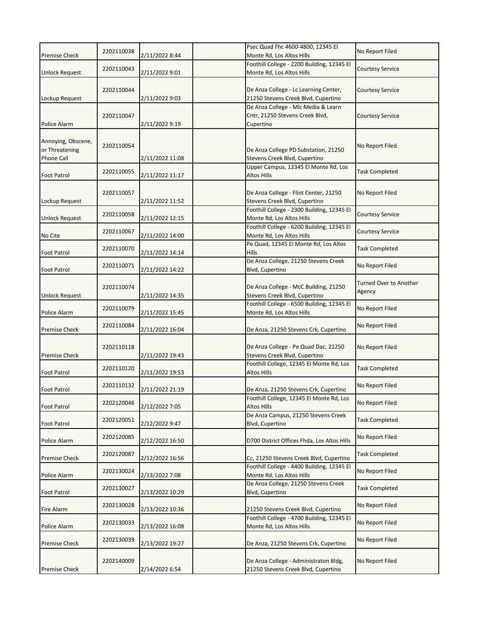|                                                           | 2202110038 |                 | Psec Quad Fhc 4600-4800, 12345 El                                                   | No Report Filed                  |
|-----------------------------------------------------------|------------|-----------------|-------------------------------------------------------------------------------------|----------------------------------|
| <b>Premise Check</b>                                      |            | 2/11/2022 8:44  | Monte Rd, Los Altos Hills                                                           |                                  |
| <b>Unlock Request</b>                                     | 2202110043 | 2/11/2022 9:01  | Foothill College - 2200 Building, 12345 El<br>Monte Rd, Los Altos Hills             | <b>Courtesy Service</b>          |
| Lockup Request                                            | 2202110044 | 2/11/2022 9:03  | De Anza College - Lc Learning Center,<br>21250 Stevens Creek Blvd, Cupertino        | Courtesy Service                 |
| Police Alarm                                              | 2202110047 | 2/11/2022 9:19  | De Anza College - Mlc Media & Learn<br>Cntr, 21250 Stevens Creek Blvd,<br>Cupertino | <b>Courtesy Service</b>          |
| Annoying, Obscene,<br>or Threatening<br><b>Phone Call</b> | 2202110054 | 2/11/2022 11:08 | De Anza College PD Substation, 21250<br>Stevens Creek Blvd, Cupertino               | No Report Filed                  |
| <b>Foot Patrol</b>                                        | 2202110055 | 2/11/2022 11:17 | Upper Campus, 12345 El Monte Rd, Los<br>Altos Hills                                 | <b>Task Completed</b>            |
| Lockup Request                                            | 2202110057 | 2/11/2022 11:52 | De Anza College - Flint Center, 21250<br>Stevens Creek Blvd, Cupertino              | No Report Filed                  |
| <b>Unlock Request</b>                                     | 2202110058 | 2/11/2022 12:15 | Foothill College - 2300 Building, 12345 El<br>Monte Rd, Los Altos Hills             | <b>Courtesy Service</b>          |
| No Cite                                                   | 2202110067 | 2/11/2022 14:00 | Foothill College - 6200 Building, 12345 El<br>Monte Rd, Los Altos Hills             | <b>Courtesy Service</b>          |
| <b>Foot Patrol</b>                                        | 2202110070 | 2/11/2022 14:14 | Pe Quad, 12345 El Monte Rd, Los Altos<br><b>Hills</b>                               | <b>Task Completed</b>            |
| <b>Foot Patrol</b>                                        | 2202110071 | 2/11/2022 14:22 | De Anza College, 21250 Stevens Creek<br>Blvd, Cupertino                             | No Report Filed                  |
| <b>Unlock Request</b>                                     | 2202110074 | 2/11/2022 14:35 | De Anza College - McC Building, 21250<br>Stevens Creek Blvd, Cupertino              | Turned Over to Another<br>Agency |
| Police Alarm                                              | 2202110079 | 2/11/2022 15:45 | Foothill College - 6500 Building, 12345 El<br>Monte Rd, Los Altos Hills             | No Report Filed                  |
| <b>Premise Check</b>                                      | 2202110084 | 2/11/2022 16:04 | De Anza, 21250 Stevens Crk, Cupertino                                               | No Report Filed                  |
| <b>Premise Check</b>                                      | 2202110118 | 2/11/2022 19:43 | De Anza College - Pe Quad Dac, 21250<br>Stevens Creek Blvd, Cupertino               | No Report Filed                  |
| <b>Foot Patrol</b>                                        | 2202110120 | 2/11/2022 19:53 | Foothill College, 12345 El Monte Rd, Los<br>Altos Hills                             | <b>Task Completed</b>            |
| <b>Foot Patrol</b>                                        | 2202110132 | 2/11/2022 21:19 | De Anza, 21250 Stevens Crk, Cupertino                                               | No Report Filed                  |
| <b>Foot Patrol</b>                                        | 2202120046 | 2/12/2022 7:05  | Foothill College, 12345 El Monte Rd, Los<br>Altos Hills                             | No Report Filed                  |
| <b>Foot Patrol</b>                                        | 2202120051 | 2/12/2022 9:47  | De Anza Campus, 21250 Stevens Creek<br>Blvd, Cupertino                              | <b>Task Completed</b>            |
| Police Alarm                                              | 2202120085 | 2/12/2022 16:50 | D700 District Offices Fhda, Los Altos Hills                                         | No Report Filed                  |
| <b>Premise Check</b>                                      | 2202120087 | 2/12/2022 16:56 | Cc, 21250 Stevens Creek Blvd, Cupertino                                             | <b>Task Completed</b>            |
| Police Alarm                                              | 2202130024 | 2/13/2022 7:08  | Foothill College - 4400 Building, 12345 El<br>Monte Rd, Los Altos Hills             | No Report Filed                  |
| <b>Foot Patrol</b>                                        | 2202130027 | 2/13/2022 10:29 | De Anza College, 21250 Stevens Creek<br>Blvd, Cupertino                             | <b>Task Completed</b>            |
| Fire Alarm                                                | 2202130028 | 2/13/2022 10:36 | 21250 Stevens Creek Blvd, Cupertino                                                 | No Report Filed                  |
| Police Alarm                                              | 2202130033 | 2/13/2022 16:08 | Foothill College - 4700 Building, 12345 El<br>Monte Rd, Los Altos Hills             | No Report Filed                  |
| <b>Premise Check</b>                                      | 2202130039 | 2/13/2022 19:27 | De Anza, 21250 Stevens Crk, Cupertino                                               | No Report Filed                  |
| <b>Premise Check</b>                                      | 2202140009 | 2/14/2022 6:54  | De Anza College - Administraton Bldg,<br>21250 Stevens Creek Blvd, Cupertino        | No Report Filed                  |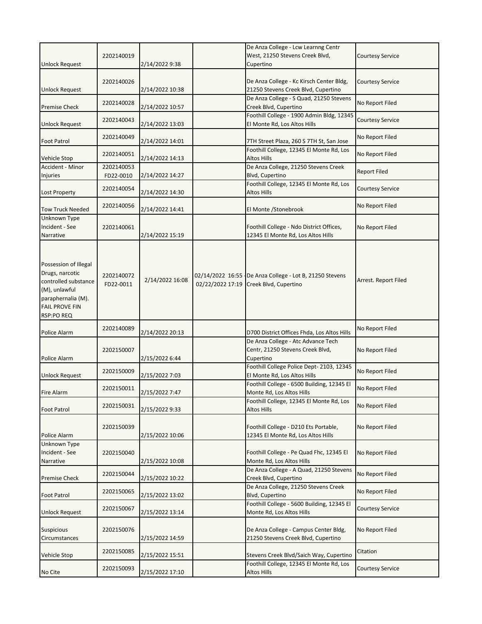|                                                                                                                                                       |                         |                 |                  | De Anza College - Lcw Learnng Centr                                                 |                         |
|-------------------------------------------------------------------------------------------------------------------------------------------------------|-------------------------|-----------------|------------------|-------------------------------------------------------------------------------------|-------------------------|
| <b>Unlock Request</b>                                                                                                                                 | 2202140019              | 2/14/2022 9:38  |                  | West, 21250 Stevens Creek Blvd,<br>Cupertino                                        | <b>Courtesy Service</b> |
| <b>Unlock Request</b>                                                                                                                                 | 2202140026              | 2/14/2022 10:38 |                  | De Anza College - Kc Kirsch Center Bldg,<br>21250 Stevens Creek Blvd, Cupertino     | <b>Courtesy Service</b> |
| <b>Premise Check</b>                                                                                                                                  | 2202140028              | 2/14/2022 10:57 |                  | De Anza College - S Quad, 21250 Stevens<br>Creek Blvd, Cupertino                    | No Report Filed         |
| <b>Unlock Request</b>                                                                                                                                 | 2202140043              | 2/14/2022 13:03 |                  | Foothill College - 1900 Admin Bldg, 12345<br>El Monte Rd, Los Altos Hills           | <b>Courtesy Service</b> |
| <b>Foot Patrol</b>                                                                                                                                    | 2202140049              | 2/14/2022 14:01 |                  | 7TH Street Plaza, 260 S 7TH St, San Jose                                            | No Report Filed         |
| <b>Vehicle Stop</b>                                                                                                                                   | 2202140051              | 2/14/2022 14:13 |                  | Foothill College, 12345 El Monte Rd, Los<br><b>Altos Hills</b>                      | No Report Filed         |
| Accident - Minor<br>Injuries                                                                                                                          | 2202140053<br>FD22-0010 | 2/14/2022 14:27 |                  | De Anza College, 21250 Stevens Creek<br>Blvd, Cupertino                             | <b>Report Filed</b>     |
| Lost Property                                                                                                                                         | 2202140054              | 2/14/2022 14:30 |                  | Foothill College, 12345 El Monte Rd, Los<br>Altos Hills                             | <b>Courtesy Service</b> |
| <b>Tow Truck Needed</b>                                                                                                                               | 2202140056              | 2/14/2022 14:41 |                  | El Monte /Stonebrook                                                                | No Report Filed         |
| Unknown Type<br>Incident - See<br>Narrative                                                                                                           | 2202140061              | 2/14/2022 15:19 |                  | Foothill College - Ndo District Offices,<br>12345 El Monte Rd, Los Altos Hills      | No Report Filed         |
| Possession of Illegal<br>Drugs, narcotic<br>controlled substance<br>(M), unlawful<br>paraphernalia (M).<br><b>FAIL PROVE FIN</b><br><b>RSP:PO REQ</b> | 2202140072<br>FD22-0011 | 2/14/2022 16:08 | 02/22/2022 17:19 | 02/14/2022 16:55 De Anza College - Lot B, 21250 Stevens<br>Creek Blvd, Cupertino    | Arrest. Report Filed    |
| Police Alarm                                                                                                                                          | 2202140089              | 2/14/2022 20:13 |                  | D700 District Offices Fhda, Los Altos Hills                                         | No Report Filed         |
| Police Alarm                                                                                                                                          | 2202150007              | 2/15/2022 6:44  |                  | De Anza College - Atc Advance Tech<br>Centr, 21250 Stevens Creek Blvd,<br>Cupertino | No Report Filed         |
| <b>Unlock Request</b>                                                                                                                                 | 2202150009              | 2/15/2022 7:03  |                  | Foothill College Police Dept-2103, 12345<br>El Monte Rd, Los Altos Hills            | No Report Filed         |
| <b>Fire Alarm</b>                                                                                                                                     | 2202150011              | 2/15/2022 7:47  |                  | Foothill College - 6500 Building, 12345 El<br>Monte Rd, Los Altos Hills             | No Report Filed         |
| <b>Foot Patrol</b>                                                                                                                                    | 2202150031              | 2/15/2022 9:33  |                  | Foothill College, 12345 El Monte Rd, Los<br>Altos Hills                             | No Report Filed         |
| Police Alarm                                                                                                                                          | 2202150039              | 2/15/2022 10:06 |                  | Foothill College - D210 Ets Portable,<br>12345 El Monte Rd, Los Altos Hills         | No Report Filed         |
| Unknown Type<br>Incident - See<br>Narrative                                                                                                           | 2202150040              | 2/15/2022 10:08 |                  | Foothill College - Pe Quad Fhc, 12345 El<br>Monte Rd, Los Altos Hills               | No Report Filed         |
| <b>Premise Check</b>                                                                                                                                  | 2202150044              | 2/15/2022 10:22 |                  | De Anza College - A Quad, 21250 Stevens<br>Creek Blvd, Cupertino                    | No Report Filed         |
| Foot Patrol                                                                                                                                           | 2202150065              | 2/15/2022 13:02 |                  | De Anza College, 21250 Stevens Creek<br><b>Blvd, Cupertino</b>                      | No Report Filed         |
| <b>Unlock Request</b>                                                                                                                                 | 2202150067              | 2/15/2022 13:14 |                  | Foothill College - 5600 Building, 12345 El<br>Monte Rd, Los Altos Hills             | <b>Courtesy Service</b> |
| <b>Suspicious</b><br>Circumstances                                                                                                                    | 2202150076              | 2/15/2022 14:59 |                  | De Anza College - Campus Center Bldg,<br>21250 Stevens Creek Blvd, Cupertino        | No Report Filed         |
| Vehicle Stop                                                                                                                                          | 2202150085              | 2/15/2022 15:51 |                  | Stevens Creek Blvd/Saich Way, Cupertino                                             | Citation                |
| No Cite                                                                                                                                               | 2202150093              | 2/15/2022 17:10 |                  | Foothill College, 12345 El Monte Rd, Los<br>Altos Hills                             | Courtesy Service        |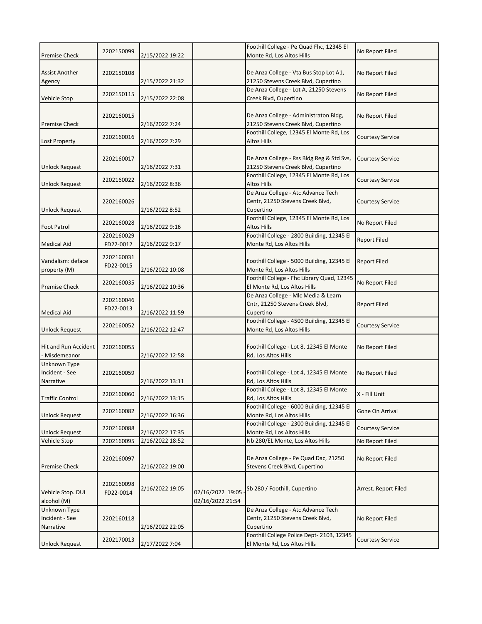|                                             |                         |                 |                                      | Foothill College - Pe Quad Fhc, 12345 El                                            |                         |
|---------------------------------------------|-------------------------|-----------------|--------------------------------------|-------------------------------------------------------------------------------------|-------------------------|
| <b>Premise Check</b>                        | 2202150099              | 2/15/2022 19:22 |                                      | Monte Rd, Los Altos Hills                                                           | No Report Filed         |
| <b>Assist Another</b><br>Agency             | 2202150108              | 2/15/2022 21:32 |                                      | De Anza College - Vta Bus Stop Lot A1,<br>21250 Stevens Creek Blvd, Cupertino       | No Report Filed         |
| <b>Vehicle Stop</b>                         | 2202150115              | 2/15/2022 22:08 |                                      | De Anza College - Lot A, 21250 Stevens<br>Creek Blvd, Cupertino                     | No Report Filed         |
| <b>Premise Check</b>                        | 2202160015              | 2/16/2022 7:24  |                                      | De Anza College - Administraton Bldg,<br>21250 Stevens Creek Blvd, Cupertino        | No Report Filed         |
| <b>Lost Property</b>                        | 2202160016              | 2/16/2022 7:29  |                                      | Foothill College, 12345 El Monte Rd, Los<br>Altos Hills                             | <b>Courtesy Service</b> |
| <b>Unlock Request</b>                       | 2202160017              | 2/16/2022 7:31  |                                      | De Anza College - Rss Bldg Reg & Std Svs,<br>21250 Stevens Creek Blvd, Cupertino    | <b>Courtesy Service</b> |
| <b>Unlock Request</b>                       | 2202160022              | 2/16/2022 8:36  |                                      | Foothill College, 12345 El Monte Rd, Los<br>Altos Hills                             | <b>Courtesy Service</b> |
| <b>Unlock Request</b>                       | 2202160026              | 2/16/2022 8:52  |                                      | De Anza College - Atc Advance Tech<br>Centr, 21250 Stevens Creek Blvd,<br>Cupertino | <b>Courtesy Service</b> |
| <b>Foot Patrol</b>                          | 2202160028              | 2/16/2022 9:16  |                                      | Foothill College, 12345 El Monte Rd, Los<br><b>Altos Hills</b>                      | No Report Filed         |
| <b>Medical Aid</b>                          | 2202160029<br>FD22-0012 | 2/16/2022 9:17  |                                      | Foothill College - 2800 Building, 12345 El<br>Monte Rd, Los Altos Hills             | <b>Report Filed</b>     |
| Vandalism: deface<br>property (M)           | 2202160031<br>FD22-0015 | 2/16/2022 10:08 |                                      | Foothill College - 5000 Building, 12345 El<br>Monte Rd, Los Altos Hills             | <b>Report Filed</b>     |
| <b>Premise Check</b>                        | 2202160035              | 2/16/2022 10:36 |                                      | Foothill College - Fhc Library Quad, 12345<br>El Monte Rd, Los Altos Hills          | No Report Filed         |
| <b>Medical Aid</b>                          | 2202160046<br>FD22-0013 | 2/16/2022 11:59 |                                      | De Anza College - Mlc Media & Learn<br>Cntr, 21250 Stevens Creek Blvd,<br>Cupertino | <b>Report Filed</b>     |
| Unlock Request                              | 2202160052              | 2/16/2022 12:47 |                                      | Foothill College - 4500 Building, 12345 El<br>Monte Rd, Los Altos Hills             | <b>Courtesy Service</b> |
| Hit and Run Accident<br>- Misdemeanor       | 2202160055              | 2/16/2022 12:58 |                                      | Foothill College - Lot 8, 12345 El Monte<br>Rd, Los Altos Hills                     | No Report Filed         |
| Unknown Type<br>Incident - See<br>Narrative | 2202160059              | 2/16/2022 13:11 |                                      | Foothill College - Lot 4, 12345 El Monte<br>Rd, Los Altos Hills                     | No Report Filed         |
| <b>Traffic Control</b>                      | 2202160060              | 2/16/2022 13:15 |                                      | Foothill College - Lot 8, 12345 El Monte<br>Rd, Los Altos Hills                     | X - Fill Unit           |
| <b>Unlock Request</b>                       | 2202160082              | 2/16/2022 16:36 |                                      | Foothill College - 6000 Building, 12345 El<br>Monte Rd, Los Altos Hills             | Gone On Arrival         |
| Unlock Request                              | 2202160088              | 2/16/2022 17:35 |                                      | Foothill College - 2300 Building, 12345 El<br>Monte Rd, Los Altos Hills             | Courtesy Service        |
| Vehicle Stop                                | 2202160095              | 2/16/2022 18:52 |                                      | Nb 280/EL Monte, Los Altos Hills                                                    | No Report Filed         |
| <b>Premise Check</b>                        | 2202160097              | 2/16/2022 19:00 |                                      | De Anza College - Pe Quad Dac, 21250<br>Stevens Creek Blvd, Cupertino               | No Report Filed         |
| Vehicle Stop. DUI<br>alcohol (M)            | 2202160098<br>FD22-0014 | 2/16/2022 19:05 | 02/16/2022 19:05<br>02/16/2022 21:54 | Sb 280 / Foothill, Cupertino                                                        | Arrest. Report Filed    |
| Unknown Type<br>Incident - See<br>Narrative | 2202160118              | 2/16/2022 22:05 |                                      | De Anza College - Atc Advance Tech<br>Centr, 21250 Stevens Creek Blvd,<br>Cupertino | No Report Filed         |
| Unlock Request                              | 2202170013              | 2/17/2022 7:04  |                                      | Foothill College Police Dept-2103, 12345<br>El Monte Rd, Los Altos Hills            | Courtesy Service        |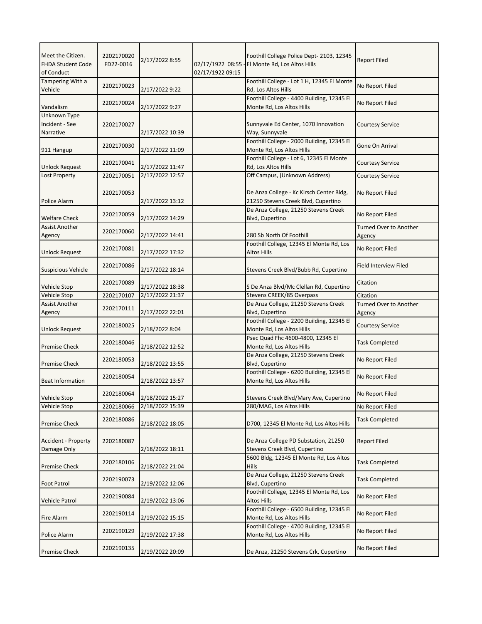| Meet the Citizen.<br><b>FHDA Student Code</b><br>of Conduct | 2202170020<br>FD22-0016 | 2/17/2022 8:55  | 02/17/1922 08:55<br>02/17/1922 09:15 | Foothill College Police Dept- 2103, 12345<br>El Monte Rd, Los Altos Hills       | <b>Report Filed</b>                     |
|-------------------------------------------------------------|-------------------------|-----------------|--------------------------------------|---------------------------------------------------------------------------------|-----------------------------------------|
| Tampering With a<br>Vehicle                                 | 2202170023              | 2/17/2022 9:22  |                                      | Foothill College - Lot 1 H, 12345 El Monte<br>Rd, Los Altos Hills               | No Report Filed                         |
| Vandalism                                                   | 2202170024              | 2/17/2022 9:27  |                                      | Foothill College - 4400 Building, 12345 El<br>Monte Rd, Los Altos Hills         | No Report Filed                         |
| Unknown Type<br>Incident - See<br>Narrative                 | 2202170027              | 2/17/2022 10:39 |                                      | Sunnyvale Ed Center, 1070 Innovation<br>Way, Sunnyvale                          | <b>Courtesy Service</b>                 |
| 911 Hangup                                                  | 2202170030              | 2/17/2022 11:09 |                                      | Foothill College - 2000 Building, 12345 El<br>Monte Rd, Los Altos Hills         | Gone On Arrival                         |
| <b>Unlock Request</b>                                       | 2202170041              | 2/17/2022 11:47 |                                      | Foothill College - Lot 6, 12345 El Monte<br>Rd, Los Altos Hills                 | <b>Courtesy Service</b>                 |
| Lost Property                                               | 2202170051              | 2/17/2022 12:57 |                                      | Off Campus, (Unknown Address)                                                   | <b>Courtesy Service</b>                 |
| Police Alarm                                                | 2202170053              | 2/17/2022 13:12 |                                      | De Anza College - Kc Kirsch Center Bldg,<br>21250 Stevens Creek Blvd, Cupertino | No Report Filed                         |
| <b>Welfare Check</b>                                        | 2202170059              | 2/17/2022 14:29 |                                      | De Anza College, 21250 Stevens Creek<br>Blvd, Cupertino                         | No Report Filed                         |
| <b>Assist Another</b><br>Agency                             | 2202170060              | 2/17/2022 14:41 |                                      | 280 Sb North Of Foothill                                                        | <b>Turned Over to Another</b><br>Agency |
| <b>Unlock Request</b>                                       | 2202170081              | 2/17/2022 17:32 |                                      | Foothill College, 12345 El Monte Rd, Los<br><b>Altos Hills</b>                  | No Report Filed                         |
| <b>Suspicious Vehicle</b>                                   | 2202170086              | 2/17/2022 18:14 |                                      | Stevens Creek Blvd/Bubb Rd, Cupertino                                           | <b>Field Interview Filed</b>            |
| Vehicle Stop                                                | 2202170089              | 2/17/2022 18:38 |                                      | S De Anza Blvd/Mc Clellan Rd, Cupertino                                         | Citation                                |
| Vehicle Stop                                                | 2202170107              | 2/17/2022 21:37 |                                      | Stevens CREEK/85 Overpass                                                       | Citation                                |
| Assist Another<br>Agency                                    | 2202170111              | 2/17/2022 22:01 |                                      | De Anza College, 21250 Stevens Creek<br>Blvd, Cupertino                         | <b>Turned Over to Another</b><br>Agency |
| <b>Unlock Request</b>                                       | 2202180025              | 2/18/2022 8:04  |                                      | Foothill College - 2200 Building, 12345 El<br>Monte Rd, Los Altos Hills         | <b>Courtesy Service</b>                 |
| <b>Premise Check</b>                                        | 2202180046              | 2/18/2022 12:52 |                                      | Psec Quad Fhc 4600-4800, 12345 El<br>Monte Rd, Los Altos Hills                  | <b>Task Completed</b>                   |
| <b>Premise Check</b>                                        | 2202180053              | 2/18/2022 13:55 |                                      | De Anza College, 21250 Stevens Creek<br>Blvd, Cupertino                         | No Report Filed                         |
| <b>Beat Information</b>                                     | 2202180054              | 2/18/2022 13:57 |                                      | Foothill College - 6200 Building, 12345 El<br>Monte Rd, Los Altos Hills         | No Report Filed                         |
| Vehicle Stop                                                | 2202180064              | 2/18/2022 15:27 |                                      | Stevens Creek Blvd/Mary Ave, Cupertino                                          | No Report Filed                         |
| Vehicle Stop                                                | 2202180066              | 2/18/2022 15:39 |                                      | 280/MAG, Los Altos Hills                                                        | No Report Filed                         |
| <b>Premise Check</b>                                        | 2202180086              | 2/18/2022 18:05 |                                      | D700, 12345 El Monte Rd, Los Altos Hills                                        | <b>Task Completed</b>                   |
| Accident - Property<br>Damage Only                          | 2202180087              | 2/18/2022 18:11 |                                      | De Anza College PD Substation, 21250<br>Stevens Creek Blvd, Cupertino           | <b>Report Filed</b>                     |
| <b>Premise Check</b>                                        | 2202180106              | 2/18/2022 21:04 |                                      | 5600 Bldg, 12345 El Monte Rd, Los Altos<br><b>Hills</b>                         | <b>Task Completed</b>                   |
| <b>Foot Patrol</b>                                          | 2202190073              | 2/19/2022 12:06 |                                      | De Anza College, 21250 Stevens Creek<br>Blvd, Cupertino                         | <b>Task Completed</b>                   |
| Vehicle Patrol                                              | 2202190084              | 2/19/2022 13:06 |                                      | Foothill College, 12345 El Monte Rd, Los<br>Altos Hills                         | No Report Filed                         |
| Fire Alarm                                                  | 2202190114              | 2/19/2022 15:15 |                                      | Foothill College - 6500 Building, 12345 El<br>Monte Rd, Los Altos Hills         | No Report Filed                         |
| Police Alarm                                                | 2202190129              | 2/19/2022 17:38 |                                      | Foothill College - 4700 Building, 12345 El<br>Monte Rd, Los Altos Hills         | No Report Filed                         |
| <b>Premise Check</b>                                        | 2202190135              | 2/19/2022 20:09 |                                      | De Anza, 21250 Stevens Crk, Cupertino                                           | No Report Filed                         |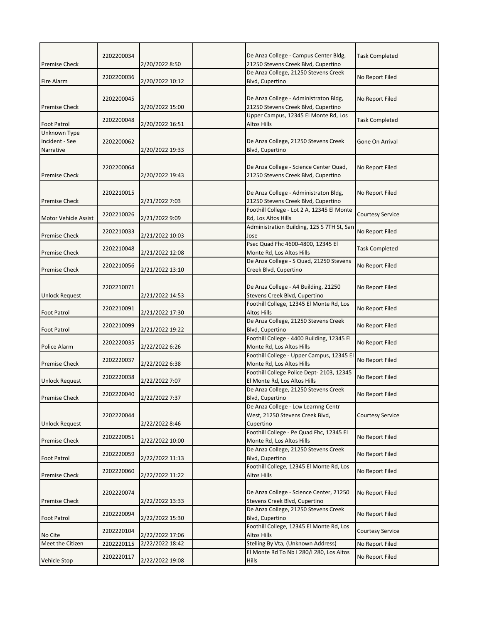| <b>Premise Check</b>                        | 2202200034 | 2/20/2022 8:50  | De Anza College - Campus Center Bldg,<br>21250 Stevens Creek Blvd, Cupertino        | <b>Task Completed</b>   |
|---------------------------------------------|------------|-----------------|-------------------------------------------------------------------------------------|-------------------------|
| Fire Alarm                                  | 2202200036 | 2/20/2022 10:12 | De Anza College, 21250 Stevens Creek<br>Blvd, Cupertino                             | No Report Filed         |
| <b>Premise Check</b>                        | 2202200045 | 2/20/2022 15:00 | De Anza College - Administraton Bldg,<br>21250 Stevens Creek Blvd, Cupertino        | No Report Filed         |
| <b>Foot Patrol</b>                          | 2202200048 | 2/20/2022 16:51 | Upper Campus, 12345 El Monte Rd, Los<br>Altos Hills                                 | <b>Task Completed</b>   |
| Unknown Type<br>Incident - See<br>Narrative | 2202200062 | 2/20/2022 19:33 | De Anza College, 21250 Stevens Creek<br>Blvd, Cupertino                             | Gone On Arrival         |
| <b>Premise Check</b>                        | 2202200064 | 2/20/2022 19:43 | De Anza College - Science Center Quad,<br>21250 Stevens Creek Blvd, Cupertino       | No Report Filed         |
| <b>Premise Check</b>                        | 2202210015 | 2/21/2022 7:03  | De Anza College - Administraton Bldg,<br>21250 Stevens Creek Blvd, Cupertino        | No Report Filed         |
| <b>Motor Vehicle Assist</b>                 | 2202210026 | 2/21/2022 9:09  | Foothill College - Lot 2 A, 12345 El Monte<br>Rd, Los Altos Hills                   | <b>Courtesy Service</b> |
| <b>Premise Check</b>                        | 2202210033 | 2/21/2022 10:03 | Administration Building, 125 S 7TH St, San<br>Jose                                  | No Report Filed         |
| <b>Premise Check</b>                        | 2202210048 | 2/21/2022 12:08 | Psec Quad Fhc 4600-4800, 12345 El<br>Monte Rd, Los Altos Hills                      | <b>Task Completed</b>   |
| <b>Premise Check</b>                        | 2202210056 | 2/21/2022 13:10 | De Anza College - S Quad, 21250 Stevens<br>Creek Blvd, Cupertino                    | No Report Filed         |
| Unlock Request                              | 2202210071 | 2/21/2022 14:53 | De Anza College - A4 Building, 21250<br>Stevens Creek Blvd, Cupertino               | No Report Filed         |
| <b>Foot Patrol</b>                          | 2202210091 | 2/21/2022 17:30 | Foothill College, 12345 El Monte Rd, Los<br><b>Altos Hills</b>                      | No Report Filed         |
| <b>Foot Patrol</b>                          | 2202210099 | 2/21/2022 19:22 | De Anza College, 21250 Stevens Creek<br>Blvd, Cupertino                             | No Report Filed         |
| Police Alarm                                | 2202220035 | 2/22/2022 6:26  | Foothill College - 4400 Building, 12345 El<br>Monte Rd, Los Altos Hills             | No Report Filed         |
| Premise Check                               | 2202220037 | 2/22/2022 6:38  | Foothill College - Upper Campus, 12345 El<br>Monte Rd, Los Altos Hills              | No Report Filed         |
| <b>Unlock Request</b>                       | 2202220038 | 2/22/2022 7:07  | Foothill College Police Dept-2103, 12345<br>El Monte Rd, Los Altos Hills            | No Report Filed         |
| <b>Premise Check</b>                        | 2202220040 | 2/22/2022 7:37  | De Anza College, 21250 Stevens Creek<br>Blvd, Cupertino                             | No Report Filed         |
| <b>Unlock Request</b>                       | 2202220044 | 2/22/2022 8:46  | De Anza College - Lcw Learnng Centr<br>West, 21250 Stevens Creek Blvd,<br>Cupertino | <b>Courtesy Service</b> |
| <b>Premise Check</b>                        | 2202220051 | 2/22/2022 10:00 | Foothill College - Pe Quad Fhc, 12345 El<br>Monte Rd, Los Altos Hills               | No Report Filed         |
| <b>Foot Patrol</b>                          | 2202220059 | 2/22/2022 11:13 | De Anza College, 21250 Stevens Creek<br>Blvd, Cupertino                             | No Report Filed         |
| <b>Premise Check</b>                        | 2202220060 | 2/22/2022 11:22 | Foothill College, 12345 El Monte Rd, Los<br>Altos Hills                             | No Report Filed         |
| <b>Premise Check</b>                        | 2202220074 | 2/22/2022 13:33 | De Anza College - Science Center, 21250<br>Stevens Creek Blvd, Cupertino            | No Report Filed         |
| Foot Patrol                                 | 2202220094 | 2/22/2022 15:30 | De Anza College, 21250 Stevens Creek<br>Blvd, Cupertino                             | No Report Filed         |
| No Cite                                     | 2202220104 | 2/22/2022 17:06 | Foothill College, 12345 El Monte Rd, Los<br>Altos Hills                             | <b>Courtesy Service</b> |
| Meet the Citizen                            | 2202220115 | 2/22/2022 18:42 | Stelling By Vta, (Unknown Address)                                                  | No Report Filed         |
| Vehicle Stop                                | 2202220117 | 2/22/2022 19:08 | El Monte Rd To Nb I 280/I 280, Los Altos<br><b>Hills</b>                            | No Report Filed         |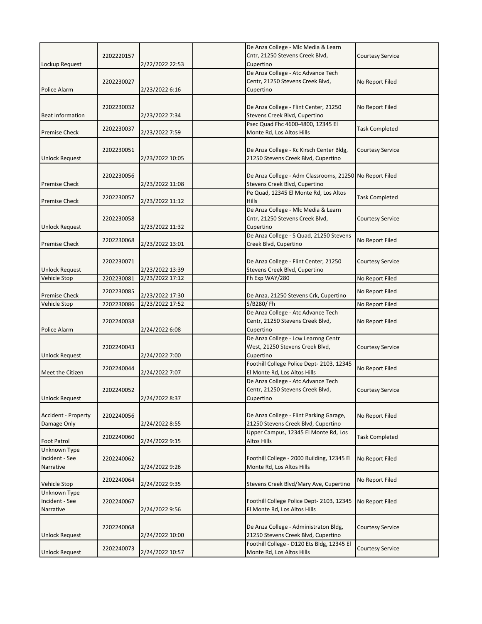|                            |            |                 | De Anza College - Mlc Media & Learn                                               |                         |
|----------------------------|------------|-----------------|-----------------------------------------------------------------------------------|-------------------------|
| Lockup Request             | 2202220157 | 2/22/2022 22:53 | Cntr, 21250 Stevens Creek Blvd,<br>Cupertino                                      | <b>Courtesy Service</b> |
|                            |            |                 | De Anza College - Atc Advance Tech                                                |                         |
|                            | 2202230027 |                 | Centr, 21250 Stevens Creek Blvd,                                                  | No Report Filed         |
| Police Alarm               |            | 2/23/2022 6:16  | Cupertino                                                                         |                         |
|                            | 2202230032 |                 | De Anza College - Flint Center, 21250                                             |                         |
| <b>Beat Information</b>    |            | 2/23/2022 7:34  | Stevens Creek Blvd, Cupertino                                                     | No Report Filed         |
|                            |            |                 | Psec Quad Fhc 4600-4800, 12345 El                                                 |                         |
| <b>Premise Check</b>       | 2202230037 | 2/23/2022 7:59  | Monte Rd, Los Altos Hills                                                         | <b>Task Completed</b>   |
|                            |            |                 |                                                                                   |                         |
| <b>Unlock Request</b>      | 2202230051 | 2/23/2022 10:05 | De Anza College - Kc Kirsch Center Bldg,<br>21250 Stevens Creek Blvd, Cupertino   | <b>Courtesy Service</b> |
|                            |            |                 |                                                                                   |                         |
|                            | 2202230056 |                 | De Anza College - Adm Classrooms, 21250 No Report Filed                           |                         |
| <b>Premise Check</b>       |            | 2/23/2022 11:08 | Stevens Creek Blvd, Cupertino                                                     |                         |
|                            | 2202230057 |                 | Pe Quad, 12345 El Monte Rd, Los Altos                                             | <b>Task Completed</b>   |
| <b>Premise Check</b>       |            | 2/23/2022 11:12 | Hills                                                                             |                         |
|                            |            |                 | De Anza College - Mlc Media & Learn<br>Cntr, 21250 Stevens Creek Blvd,            |                         |
| <b>Unlock Request</b>      | 2202230058 | 2/23/2022 11:32 | Cupertino                                                                         | <b>Courtesy Service</b> |
|                            |            |                 | De Anza College - S Quad, 21250 Stevens                                           |                         |
| <b>Premise Check</b>       | 2202230068 | 2/23/2022 13:01 | Creek Blvd, Cupertino                                                             | No Report Filed         |
|                            |            |                 |                                                                                   |                         |
|                            | 2202230071 |                 | De Anza College - Flint Center, 21250                                             | Courtesy Service        |
| <b>Unlock Request</b>      |            | 2/23/2022 13:39 | Stevens Creek Blvd, Cupertino                                                     |                         |
| Vehicle Stop               | 2202230081 | 2/23/2022 17:12 | Fh Exp WAY/280                                                                    | No Report Filed         |
| <b>Premise Check</b>       | 2202230085 | 2/23/2022 17:30 | De Anza, 21250 Stevens Crk, Cupertino                                             | No Report Filed         |
| Vehicle Stop               | 2202230086 | 2/23/2022 17:52 | S/B280/Fh                                                                         | No Report Filed         |
|                            |            |                 | De Anza College - Atc Advance Tech                                                |                         |
|                            | 2202240038 |                 | Centr, 21250 Stevens Creek Blvd,                                                  | No Report Filed         |
| Police Alarm               |            | 2/24/2022 6:08  | Cupertino                                                                         |                         |
|                            | 2202240043 |                 | De Anza College - Lcw Learnng Centr<br>West, 21250 Stevens Creek Blvd,            | <b>Courtesy Service</b> |
| <b>Unlock Request</b>      |            | 2/24/2022 7:00  | Cupertino                                                                         |                         |
|                            |            |                 | Foothill College Police Dept- 2103, 12345                                         |                         |
| Meet the Citizen           | 2202240044 | 2/24/2022 7:07  | El Monte Rd, Los Altos Hills                                                      | No Report Filed         |
|                            |            |                 | De Anza College - Atc Advance Tech                                                |                         |
|                            | 2202240052 |                 | Centr, 21250 Stevens Creek Blvd,                                                  | <b>Courtesy Service</b> |
| Unlock Request             |            | 2/24/2022 8:37  | Cupertino                                                                         |                         |
| <b>Accident - Property</b> | 2202240056 |                 | De Anza College - Flint Parking Garage,                                           | No Report Filed         |
| Damage Only                |            | 2/24/2022 8:55  | 21250 Stevens Creek Blvd, Cupertino                                               |                         |
|                            | 2202240060 |                 | Upper Campus, 12345 El Monte Rd, Los                                              | <b>Task Completed</b>   |
| <b>Foot Patrol</b>         |            | 2/24/2022 9:15  | <b>Altos Hills</b>                                                                |                         |
| Unknown Type               |            |                 |                                                                                   |                         |
| Incident - See             |            |                 |                                                                                   |                         |
| Narrative                  | 2202240062 |                 | Foothill College - 2000 Building, 12345 El                                        | No Report Filed         |
|                            |            | 2/24/2022 9:26  | Monte Rd, Los Altos Hills                                                         |                         |
| Vehicle Stop               | 2202240064 | 2/24/2022 9:35  | Stevens Creek Blvd/Mary Ave, Cupertino                                            | No Report Filed         |
| Unknown Type               |            |                 |                                                                                   |                         |
| Incident - See             | 2202240067 |                 | Foothill College Police Dept-2103, 12345                                          | No Report Filed         |
| Narrative                  |            | 2/24/2022 9:56  | El Monte Rd, Los Altos Hills                                                      |                         |
|                            |            |                 |                                                                                   |                         |
|                            | 2202240068 |                 | De Anza College - Administraton Bldg,                                             | <b>Courtesy Service</b> |
| <b>Unlock Request</b>      | 2202240073 | 2/24/2022 10:00 | 21250 Stevens Creek Blvd, Cupertino<br>Foothill College - D120 Ets Bldg, 12345 El | <b>Courtesy Service</b> |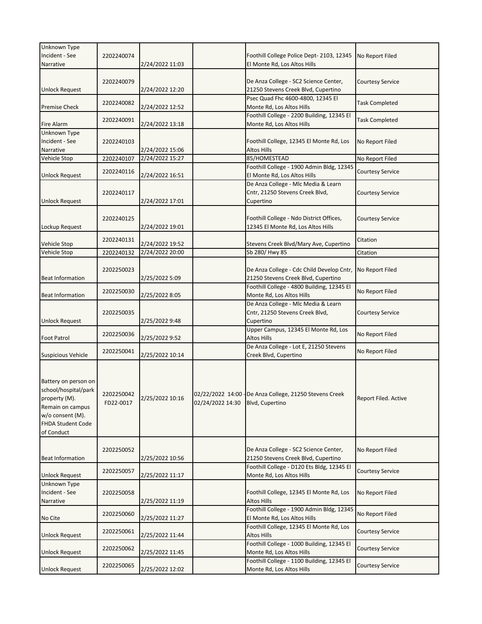| Unknown Type              |            |                 |                  |                                                         |                         |
|---------------------------|------------|-----------------|------------------|---------------------------------------------------------|-------------------------|
| Incident - See            | 2202240074 |                 |                  | Foothill College Police Dept- 2103, 12345               | No Report Filed         |
| Narrative                 |            | 2/24/2022 11:03 |                  | El Monte Rd, Los Altos Hills                            |                         |
|                           |            |                 |                  |                                                         |                         |
|                           | 2202240079 |                 |                  | De Anza College - SC2 Science Center,                   | <b>Courtesy Service</b> |
| <b>Unlock Request</b>     |            | 2/24/2022 12:20 |                  | 21250 Stevens Creek Blvd, Cupertino                     |                         |
|                           |            |                 |                  | Psec Quad Fhc 4600-4800, 12345 El                       |                         |
| <b>Premise Check</b>      | 2202240082 | 2/24/2022 12:52 |                  | Monte Rd, Los Altos Hills                               | <b>Task Completed</b>   |
|                           |            |                 |                  | Foothill College - 2200 Building, 12345 El              |                         |
| Fire Alarm                | 2202240091 | 2/24/2022 13:18 |                  | Monte Rd, Los Altos Hills                               | <b>Task Completed</b>   |
| Unknown Type              |            |                 |                  |                                                         |                         |
| Incident - See            | 2202240103 |                 |                  | Foothill College, 12345 El Monte Rd, Los                | No Report Filed         |
| Narrative                 |            | 2/24/2022 15:06 |                  | Altos Hills                                             |                         |
| Vehicle Stop              | 2202240107 | 2/24/2022 15:27 |                  | 85/HOMESTEAD                                            | No Report Filed         |
|                           |            |                 |                  | Foothill College - 1900 Admin Bldg, 12345               |                         |
| <b>Unlock Request</b>     | 2202240116 | 2/24/2022 16:51 |                  | El Monte Rd, Los Altos Hills                            | Courtesy Service        |
|                           |            |                 |                  | De Anza College - Mlc Media & Learn                     |                         |
|                           | 2202240117 |                 |                  | Cntr, 21250 Stevens Creek Blvd,                         | <b>Courtesy Service</b> |
| <b>Unlock Request</b>     |            | 2/24/2022 17:01 |                  | Cupertino                                               |                         |
|                           |            |                 |                  |                                                         |                         |
|                           | 2202240125 |                 |                  | Foothill College - Ndo District Offices,                | <b>Courtesy Service</b> |
| Lockup Request            |            | 2/24/2022 19:01 |                  | 12345 El Monte Rd, Los Altos Hills                      |                         |
|                           |            |                 |                  |                                                         |                         |
| Vehicle Stop              | 2202240131 | 2/24/2022 19:52 |                  | Stevens Creek Blvd/Mary Ave, Cupertino                  | Citation                |
| Vehicle Stop              | 2202240132 | 2/24/2022 20:00 |                  | Sb 280/ Hwy 85                                          | Citation                |
|                           |            |                 |                  |                                                         |                         |
|                           | 2202250023 |                 |                  | De Anza College - Cdc Child Develop Cntr,               | No Report Filed         |
| <b>Beat Information</b>   |            | 2/25/2022 5:09  |                  | 21250 Stevens Creek Blvd, Cupertino                     |                         |
|                           |            |                 |                  | Foothill College - 4800 Building, 12345 El              |                         |
| <b>Beat Information</b>   | 2202250030 | 2/25/2022 8:05  |                  | Monte Rd, Los Altos Hills                               | No Report Filed         |
|                           |            |                 |                  | De Anza College - Mlc Media & Learn                     |                         |
|                           |            |                 |                  | Cntr, 21250 Stevens Creek Blvd,                         |                         |
| <b>Unlock Request</b>     | 2202250035 |                 |                  | Cupertino                                               | Courtesy Service        |
|                           |            | 2/25/2022 9:48  |                  | Upper Campus, 12345 El Monte Rd, Los                    |                         |
|                           | 2202250036 | 2/25/2022 9:52  |                  | Altos Hills                                             | No Report Filed         |
| <b>Foot Patrol</b>        |            |                 |                  | De Anza College - Lot E, 21250 Stevens                  |                         |
| <b>Suspicious Vehicle</b> | 2202250041 | 2/25/2022 10:14 |                  | Creek Blvd, Cupertino                                   | No Report Filed         |
|                           |            |                 |                  |                                                         |                         |
|                           |            |                 |                  |                                                         |                         |
|                           |            |                 |                  |                                                         |                         |
| Battery on person on      |            |                 |                  |                                                         |                         |
| school/hospital/park      | 2202250042 |                 |                  | 02/22/2022 14:00 - De Anza College, 21250 Stevens Creek |                         |
| property (M).             | FD22-0017  | 2/25/2022 10:16 | 02/24/2022 14:30 | Blvd, Cupertino                                         | Report Filed. Active    |
| Remain on campus          |            |                 |                  |                                                         |                         |
| w/o consent (M).          |            |                 |                  |                                                         |                         |
| FHDA Student Code         |            |                 |                  |                                                         |                         |
| of Conduct                |            |                 |                  |                                                         |                         |
|                           |            |                 |                  |                                                         |                         |
|                           | 2202250052 |                 |                  | De Anza College - SC2 Science Center,                   | No Report Filed         |
| <b>Beat Information</b>   |            | 2/25/2022 10:56 |                  | 21250 Stevens Creek Blvd, Cupertino                     |                         |
|                           | 2202250057 |                 |                  | Foothill College - D120 Ets Bldg, 12345 El              | <b>Courtesy Service</b> |
| <b>Unlock Request</b>     |            | 2/25/2022 11:17 |                  | Monte Rd, Los Altos Hills                               |                         |
| Unknown Type              |            |                 |                  |                                                         |                         |
| Incident - See            | 2202250058 |                 |                  | Foothill College, 12345 El Monte Rd, Los                | No Report Filed         |
| Narrative                 |            | 2/25/2022 11:19 |                  | <b>Altos Hills</b>                                      |                         |
|                           | 2202250060 |                 |                  | Foothill College - 1900 Admin Bldg, 12345               | No Report Filed         |
| No Cite                   |            | 2/25/2022 11:27 |                  | El Monte Rd, Los Altos Hills                            |                         |
|                           | 2202250061 |                 |                  | Foothill College, 12345 El Monte Rd, Los                | <b>Courtesy Service</b> |
| Unlock Request            |            | 2/25/2022 11:44 |                  | <b>Altos Hills</b>                                      |                         |
|                           | 2202250062 |                 |                  | Foothill College - 1000 Building, 12345 El              | <b>Courtesy Service</b> |
| <b>Unlock Request</b>     |            | 2/25/2022 11:45 |                  | Monte Rd, Los Altos Hills                               |                         |
|                           | 2202250065 |                 |                  | Foothill College - 1100 Building, 12345 El              | <b>Courtesy Service</b> |
| <b>Unlock Request</b>     |            | 2/25/2022 12:02 |                  | Monte Rd, Los Altos Hills                               |                         |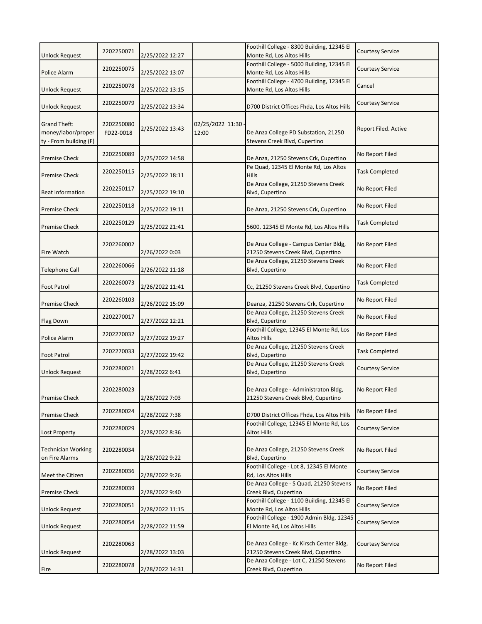|                                                                     | 2202250071              |                 |                           | Foothill College - 8300 Building, 12345 El                                      | <b>Courtesy Service</b> |
|---------------------------------------------------------------------|-------------------------|-----------------|---------------------------|---------------------------------------------------------------------------------|-------------------------|
| <b>Unlock Request</b>                                               |                         | 2/25/2022 12:27 |                           | Monte Rd, Los Altos Hills                                                       |                         |
| Police Alarm                                                        | 2202250075              | 2/25/2022 13:07 |                           | Foothill College - 5000 Building, 12345 El<br>Monte Rd, Los Altos Hills         | <b>Courtesy Service</b> |
|                                                                     |                         |                 |                           | Foothill College - 4700 Building, 12345 El                                      |                         |
| <b>Unlock Request</b>                                               | 2202250078              | 2/25/2022 13:15 |                           | Monte Rd, Los Altos Hills                                                       | Cancel                  |
| <b>Unlock Request</b>                                               | 2202250079              | 2/25/2022 13:34 |                           | D700 District Offices Fhda, Los Altos Hills                                     | Courtesy Service        |
| <b>Grand Theft:</b><br>money/labor/proper<br>ty - From building (F) | 2202250080<br>FD22-0018 | 2/25/2022 13:43 | 02/25/2022 11:30<br>12:00 | De Anza College PD Substation, 21250<br>Stevens Creek Blvd, Cupertino           | Report Filed. Active    |
| <b>Premise Check</b>                                                | 2202250089              | 2/25/2022 14:58 |                           | De Anza, 21250 Stevens Crk, Cupertino                                           | No Report Filed         |
| <b>Premise Check</b>                                                | 2202250115              | 2/25/2022 18:11 |                           | Pe Quad, 12345 El Monte Rd, Los Altos<br><b>Hills</b>                           | <b>Task Completed</b>   |
| <b>Beat Information</b>                                             | 2202250117              | 2/25/2022 19:10 |                           | De Anza College, 21250 Stevens Creek<br>Blvd, Cupertino                         | No Report Filed         |
| <b>Premise Check</b>                                                | 2202250118              | 2/25/2022 19:11 |                           | De Anza, 21250 Stevens Crk, Cupertino                                           | No Report Filed         |
| <b>Premise Check</b>                                                | 2202250129              | 2/25/2022 21:41 |                           | 5600, 12345 El Monte Rd, Los Altos Hills                                        | <b>Task Completed</b>   |
| <b>Fire Watch</b>                                                   | 2202260002              | 2/26/2022 0:03  |                           | De Anza College - Campus Center Bldg,<br>21250 Stevens Creek Blvd, Cupertino    | No Report Filed         |
| Telephone Call                                                      | 2202260066              | 2/26/2022 11:18 |                           | De Anza College, 21250 Stevens Creek<br>Blvd, Cupertino                         | No Report Filed         |
| <b>Foot Patrol</b>                                                  | 2202260073              | 2/26/2022 11:41 |                           | Cc, 21250 Stevens Creek Blvd, Cupertino                                         | <b>Task Completed</b>   |
| <b>Premise Check</b>                                                | 2202260103              | 2/26/2022 15:09 |                           | Deanza, 21250 Stevens Crk, Cupertino                                            | No Report Filed         |
| Flag Down                                                           | 2202270017              | 2/27/2022 12:21 |                           | De Anza College, 21250 Stevens Creek<br>Blvd, Cupertino                         | No Report Filed         |
| Police Alarm                                                        | 2202270032              | 2/27/2022 19:27 |                           | Foothill College, 12345 El Monte Rd, Los<br><b>Altos Hills</b>                  | No Report Filed         |
| Foot Patrol                                                         | 2202270033              | 2/27/2022 19:42 |                           | De Anza College, 21250 Stevens Creek<br>Blvd, Cupertino                         | <b>Task Completed</b>   |
| <b>Unlock Request</b>                                               | 2202280021              | 2/28/2022 6:41  |                           | De Anza College, 21250 Stevens Creek<br>Blvd, Cupertino                         | <b>Courtesy Service</b> |
| Premise Check                                                       | 2202280023              | 2/28/2022 7:03  |                           | De Anza College - Administraton Bldg,<br>21250 Stevens Creek Blvd, Cupertino    | No Report Filed         |
| <b>Premise Check</b>                                                | 2202280024              | 2/28/2022 7:38  |                           | D700 District Offices Fhda, Los Altos Hills                                     | No Report Filed         |
| Lost Property                                                       | 2202280029              | 2/28/2022 8:36  |                           | Foothill College, 12345 El Monte Rd, Los<br><b>Altos Hills</b>                  | <b>Courtesy Service</b> |
| <b>Technician Working</b><br>on Fire Alarms                         | 2202280034              | 2/28/2022 9:22  |                           | De Anza College, 21250 Stevens Creek<br>Blvd, Cupertino                         | No Report Filed         |
| Meet the Citizen                                                    | 2202280036              | 2/28/2022 9:26  |                           | Foothill College - Lot 8, 12345 El Monte<br>Rd, Los Altos Hills                 | <b>Courtesy Service</b> |
| <b>Premise Check</b>                                                | 2202280039              | 2/28/2022 9:40  |                           | De Anza College - S Quad, 21250 Stevens<br>Creek Blvd, Cupertino                | No Report Filed         |
| Unlock Request                                                      | 2202280051              | 2/28/2022 11:15 |                           | Foothill College - 1100 Building, 12345 El<br>Monte Rd, Los Altos Hills         | <b>Courtesy Service</b> |
| <b>Unlock Request</b>                                               | 2202280054              | 2/28/2022 11:59 |                           | Foothill College - 1900 Admin Bldg, 12345<br>El Monte Rd, Los Altos Hills       | <b>Courtesy Service</b> |
| <b>Unlock Request</b>                                               | 2202280063              | 2/28/2022 13:03 |                           | De Anza College - Kc Kirsch Center Bldg,<br>21250 Stevens Creek Blvd, Cupertino | <b>Courtesy Service</b> |
| Fire                                                                | 2202280078              | 2/28/2022 14:31 |                           | De Anza College - Lot C, 21250 Stevens<br>Creek Blvd, Cupertino                 | No Report Filed         |